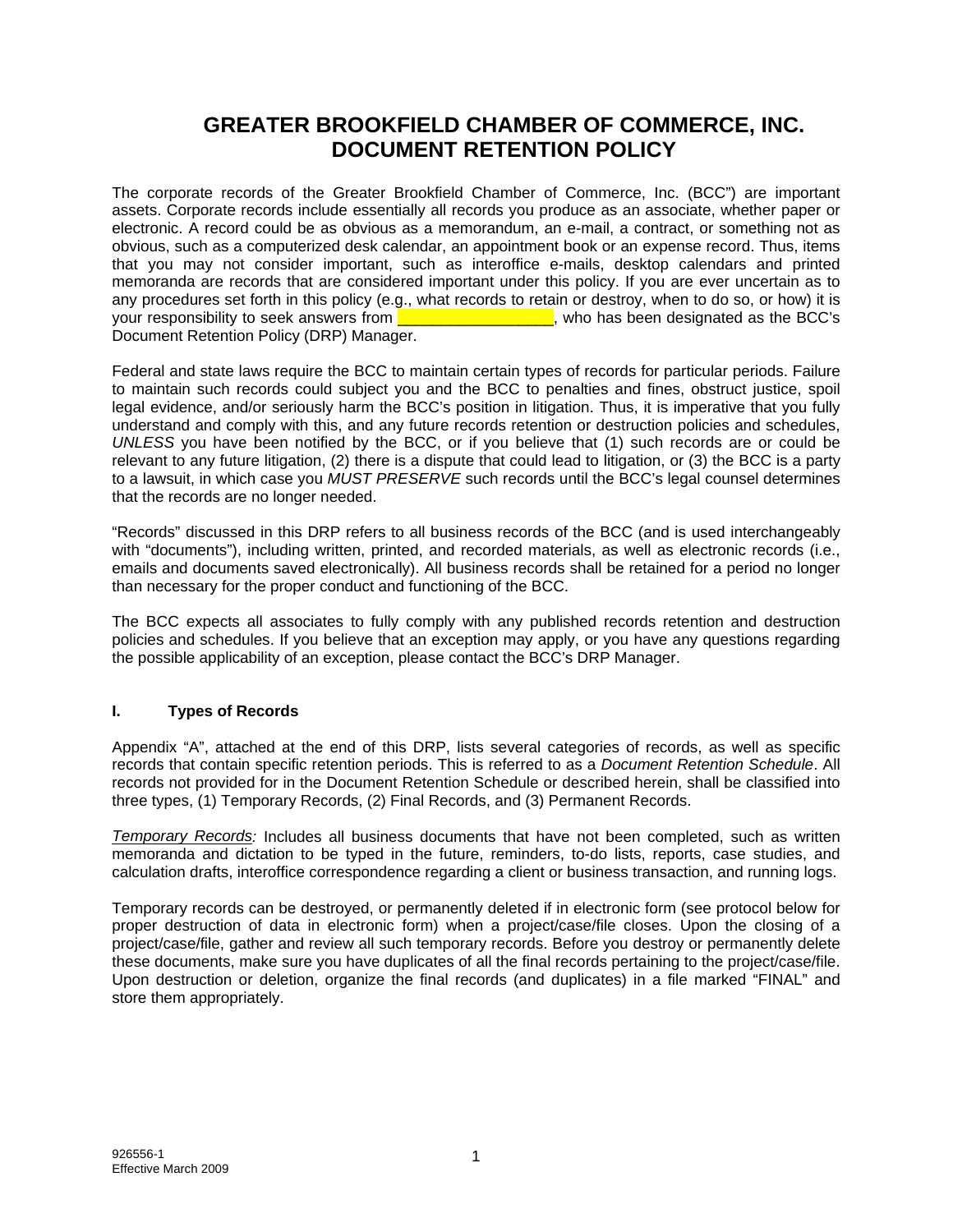## **GREATER BROOKFIELD CHAMBER OF COMMERCE, INC. DOCUMENT RETENTION POLICY**

The corporate records of the Greater Brookfield Chamber of Commerce, Inc. (BCC") are important assets. Corporate records include essentially all records you produce as an associate, whether paper or electronic. A record could be as obvious as a memorandum, an e-mail, a contract, or something not as obvious, such as a computerized desk calendar, an appointment book or an expense record. Thus, items that you may not consider important, such as interoffice e-mails, desktop calendars and printed memoranda are records that are considered important under this policy. If you are ever uncertain as to any procedures set forth in this policy (e.g., what records to retain or destroy, when to do so, or how) it is your responsibility to seek answers from **EXEC** is a structure with the seen designated as the BCC's Document Retention Policy (DRP) Manager.

Federal and state laws require the BCC to maintain certain types of records for particular periods. Failure to maintain such records could subject you and the BCC to penalties and fines, obstruct justice, spoil legal evidence, and/or seriously harm the BCC's position in litigation. Thus, it is imperative that you fully understand and comply with this, and any future records retention or destruction policies and schedules, *UNLESS* you have been notified by the BCC, or if you believe that (1) such records are or could be relevant to any future litigation, (2) there is a dispute that could lead to litigation, or (3) the BCC is a party to a lawsuit, in which case you *MUST PRESERVE* such records until the BCC's legal counsel determines that the records are no longer needed.

"Records" discussed in this DRP refers to all business records of the BCC (and is used interchangeably with "documents"), including written, printed, and recorded materials, as well as electronic records (i.e., emails and documents saved electronically). All business records shall be retained for a period no longer than necessary for the proper conduct and functioning of the BCC.

The BCC expects all associates to fully comply with any published records retention and destruction policies and schedules. If you believe that an exception may apply, or you have any questions regarding the possible applicability of an exception, please contact the BCC's DRP Manager.

### **I. Types of Records**

Appendix "A", attached at the end of this DRP, lists several categories of records, as well as specific records that contain specific retention periods. This is referred to as a *Document Retention Schedule*. All records not provided for in the Document Retention Schedule or described herein, shall be classified into three types, (1) Temporary Records, (2) Final Records, and (3) Permanent Records.

*Temporary Records:* Includes all business documents that have not been completed, such as written memoranda and dictation to be typed in the future, reminders, to-do lists, reports, case studies, and calculation drafts, interoffice correspondence regarding a client or business transaction, and running logs.

Temporary records can be destroyed, or permanently deleted if in electronic form (see protocol below for proper destruction of data in electronic form) when a project/case/file closes. Upon the closing of a project/case/file, gather and review all such temporary records. Before you destroy or permanently delete these documents, make sure you have duplicates of all the final records pertaining to the project/case/file. Upon destruction or deletion, organize the final records (and duplicates) in a file marked "FINAL" and store them appropriately.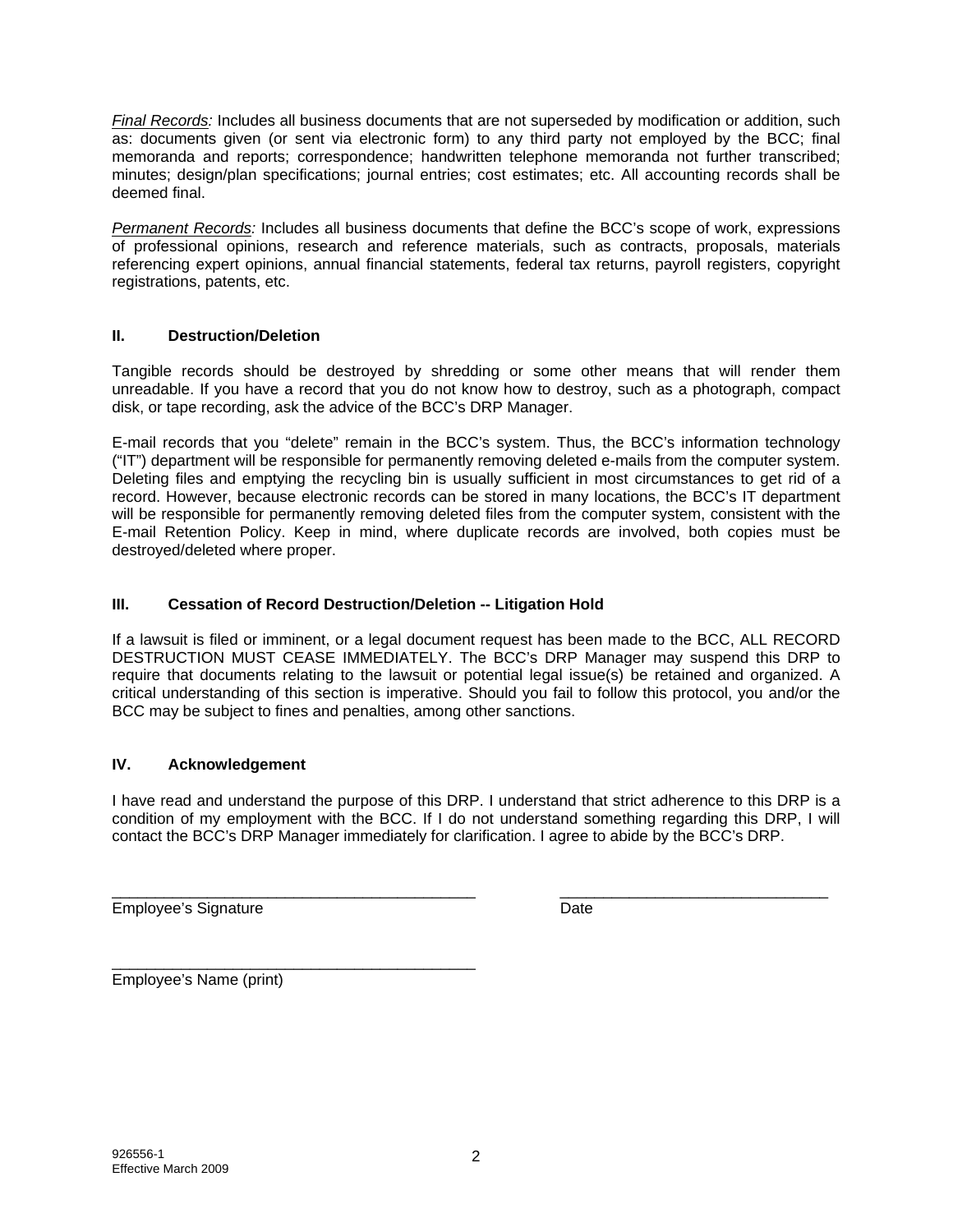*Final Records:* Includes all business documents that are not superseded by modification or addition, such as: documents given (or sent via electronic form) to any third party not employed by the BCC; final memoranda and reports; correspondence; handwritten telephone memoranda not further transcribed; minutes; design/plan specifications; journal entries; cost estimates; etc. All accounting records shall be deemed final.

*Permanent Records:* Includes all business documents that define the BCC's scope of work, expressions of professional opinions, research and reference materials, such as contracts, proposals, materials referencing expert opinions, annual financial statements, federal tax returns, payroll registers, copyright registrations, patents, etc.

#### **II. Destruction/Deletion**

Tangible records should be destroyed by shredding or some other means that will render them unreadable. If you have a record that you do not know how to destroy, such as a photograph, compact disk, or tape recording, ask the advice of the BCC's DRP Manager.

E-mail records that you "delete" remain in the BCC's system. Thus, the BCC's information technology ("IT") department will be responsible for permanently removing deleted e-mails from the computer system. Deleting files and emptying the recycling bin is usually sufficient in most circumstances to get rid of a record. However, because electronic records can be stored in many locations, the BCC's IT department will be responsible for permanently removing deleted files from the computer system, consistent with the E-mail Retention Policy. Keep in mind, where duplicate records are involved, both copies must be destroyed/deleted where proper.

#### **III. Cessation of Record Destruction/Deletion -- Litigation Hold**

If a lawsuit is filed or imminent, or a legal document request has been made to the BCC, ALL RECORD DESTRUCTION MUST CEASE IMMEDIATELY. The BCC's DRP Manager may suspend this DRP to require that documents relating to the lawsuit or potential legal issue(s) be retained and organized. A critical understanding of this section is imperative. Should you fail to follow this protocol, you and/or the BCC may be subject to fines and penalties, among other sanctions.

#### **IV. Acknowledgement**

I have read and understand the purpose of this DRP. I understand that strict adherence to this DRP is a condition of my employment with the BCC. If I do not understand something regarding this DRP, I will contact the BCC's DRP Manager immediately for clarification. I agree to abide by the BCC's DRP.

\_\_\_\_\_\_\_\_\_\_\_\_\_\_\_\_\_\_\_\_\_\_\_\_\_\_\_\_\_\_\_\_\_\_\_\_\_\_\_\_\_\_ \_\_\_\_\_\_\_\_\_\_\_\_\_\_\_\_\_\_\_\_\_\_\_\_\_\_\_\_\_\_\_ Employee's Signature **Date** Date

\_\_\_\_\_\_\_\_\_\_\_\_\_\_\_\_\_\_\_\_\_\_\_\_\_\_\_\_\_\_\_\_\_\_\_\_\_\_\_\_\_\_ Employee's Name (print)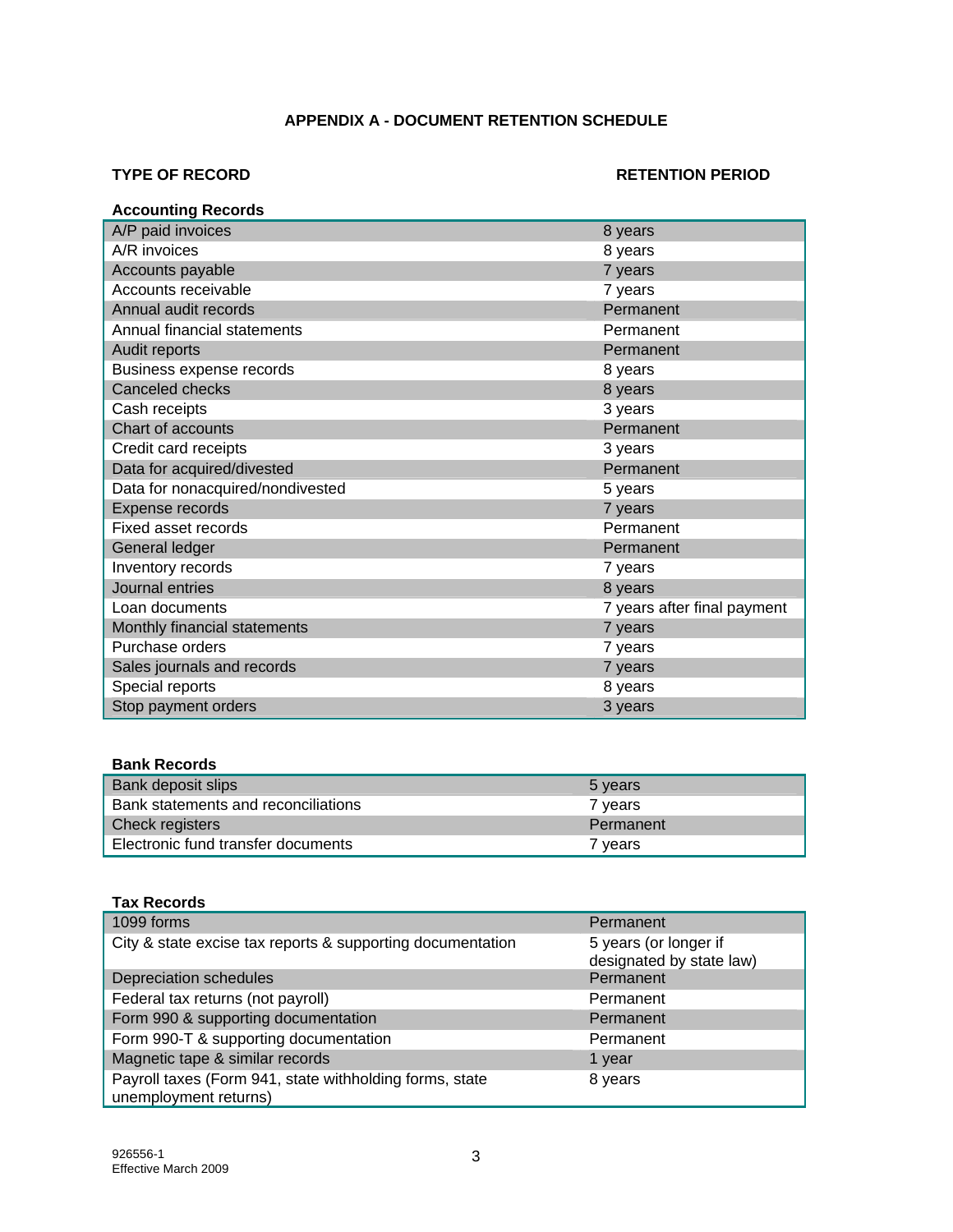#### **APPENDIX A - DOCUMENT RETENTION SCHEDULE**

#### **TYPE OF RECORD RETENTION PERIOD**

| <b>Accounting Records</b>        |                             |
|----------------------------------|-----------------------------|
| A/P paid invoices                | 8 years                     |
| A/R invoices                     | 8 years                     |
| Accounts payable                 | 7 years                     |
| Accounts receivable              | 7 years                     |
| Annual audit records             | Permanent                   |
| Annual financial statements      | Permanent                   |
| Audit reports                    | Permanent                   |
| Business expense records         | 8 years                     |
| Canceled checks                  | 8 years                     |
| Cash receipts                    | 3 years                     |
| Chart of accounts                | Permanent                   |
| Credit card receipts             | 3 years                     |
| Data for acquired/divested       | Permanent                   |
| Data for nonacquired/nondivested | 5 years                     |
| Expense records                  | 7 years                     |
| Fixed asset records              | Permanent                   |
| General ledger                   | Permanent                   |
| Inventory records                | 7 years                     |
| Journal entries                  | 8 years                     |
| Loan documents                   | 7 years after final payment |
| Monthly financial statements     | 7 years                     |
| Purchase orders                  | 7 years                     |
| Sales journals and records       | 7 years                     |
| Special reports                  | 8 years                     |
| Stop payment orders              | 3 years                     |

#### **Bank Records**

| Bank deposit slips                  | 5 years   |
|-------------------------------------|-----------|
| Bank statements and reconciliations | 7 years   |
| Check registers                     | Permanent |
| Electronic fund transfer documents  | 7 years   |

#### **Tax Records**

| 1099 forms                                                                       | Permanent                                         |
|----------------------------------------------------------------------------------|---------------------------------------------------|
| City & state excise tax reports & supporting documentation                       | 5 years (or longer if<br>designated by state law) |
| Depreciation schedules                                                           | Permanent                                         |
| Federal tax returns (not payroll)                                                | Permanent                                         |
| Form 990 & supporting documentation                                              | Permanent                                         |
| Form 990-T & supporting documentation                                            | Permanent                                         |
| Magnetic tape & similar records                                                  | 1 year                                            |
| Payroll taxes (Form 941, state withholding forms, state<br>unemployment returns) | 8 years                                           |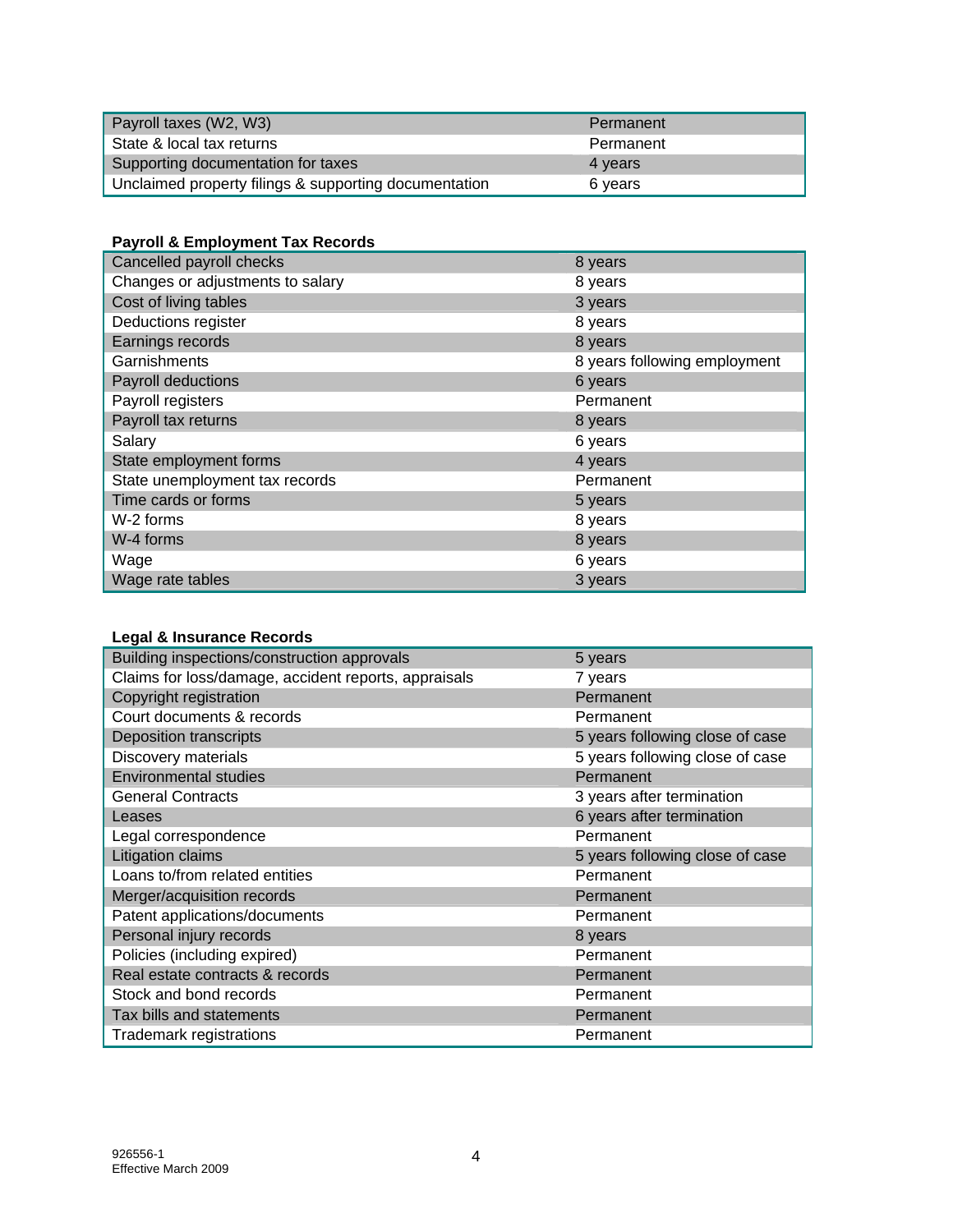| Payroll taxes (W2, W3)                                | Permanent |
|-------------------------------------------------------|-----------|
| State & local tax returns                             | Permanent |
| Supporting documentation for taxes                    | 4 years   |
| Unclaimed property filings & supporting documentation | 6 years   |

## **Payroll & Employment Tax Records**

| Cancelled payroll checks         | 8 years                      |
|----------------------------------|------------------------------|
| Changes or adjustments to salary | 8 years                      |
| Cost of living tables            | 3 years                      |
| Deductions register              | 8 years                      |
| Earnings records                 | 8 years                      |
| Garnishments                     | 8 years following employment |
| Payroll deductions               | 6 years                      |
| Payroll registers                | Permanent                    |
| Payroll tax returns              | 8 years                      |
| Salary                           | 6 years                      |
| State employment forms           | 4 years                      |
| State unemployment tax records   | Permanent                    |
| Time cards or forms              | 5 years                      |
| W-2 forms                        | 8 years                      |
| W-4 forms                        | 8 years                      |
| Wage                             | 6 years                      |
| Wage rate tables                 | 3 years                      |

# **Legal & Insurance Records**

| Building inspections/construction approvals          | 5 years                         |
|------------------------------------------------------|---------------------------------|
| Claims for loss/damage, accident reports, appraisals | 7 years                         |
| Copyright registration                               | Permanent                       |
| Court documents & records                            | Permanent                       |
| <b>Deposition transcripts</b>                        | 5 years following close of case |
| Discovery materials                                  | 5 years following close of case |
| <b>Environmental studies</b>                         | Permanent                       |
| <b>General Contracts</b>                             | 3 years after termination       |
| Leases                                               | 6 years after termination       |
| Legal correspondence                                 | Permanent                       |
| Litigation claims                                    | 5 years following close of case |
| Loans to/from related entities                       | Permanent                       |
| Merger/acquisition records                           | Permanent                       |
| Patent applications/documents                        | Permanent                       |
| Personal injury records                              | 8 years                         |
| Policies (including expired)                         | Permanent                       |
| Real estate contracts & records                      | Permanent                       |
| Stock and bond records                               | Permanent                       |
| Tax bills and statements                             | Permanent                       |
| Trademark registrations                              | Permanent                       |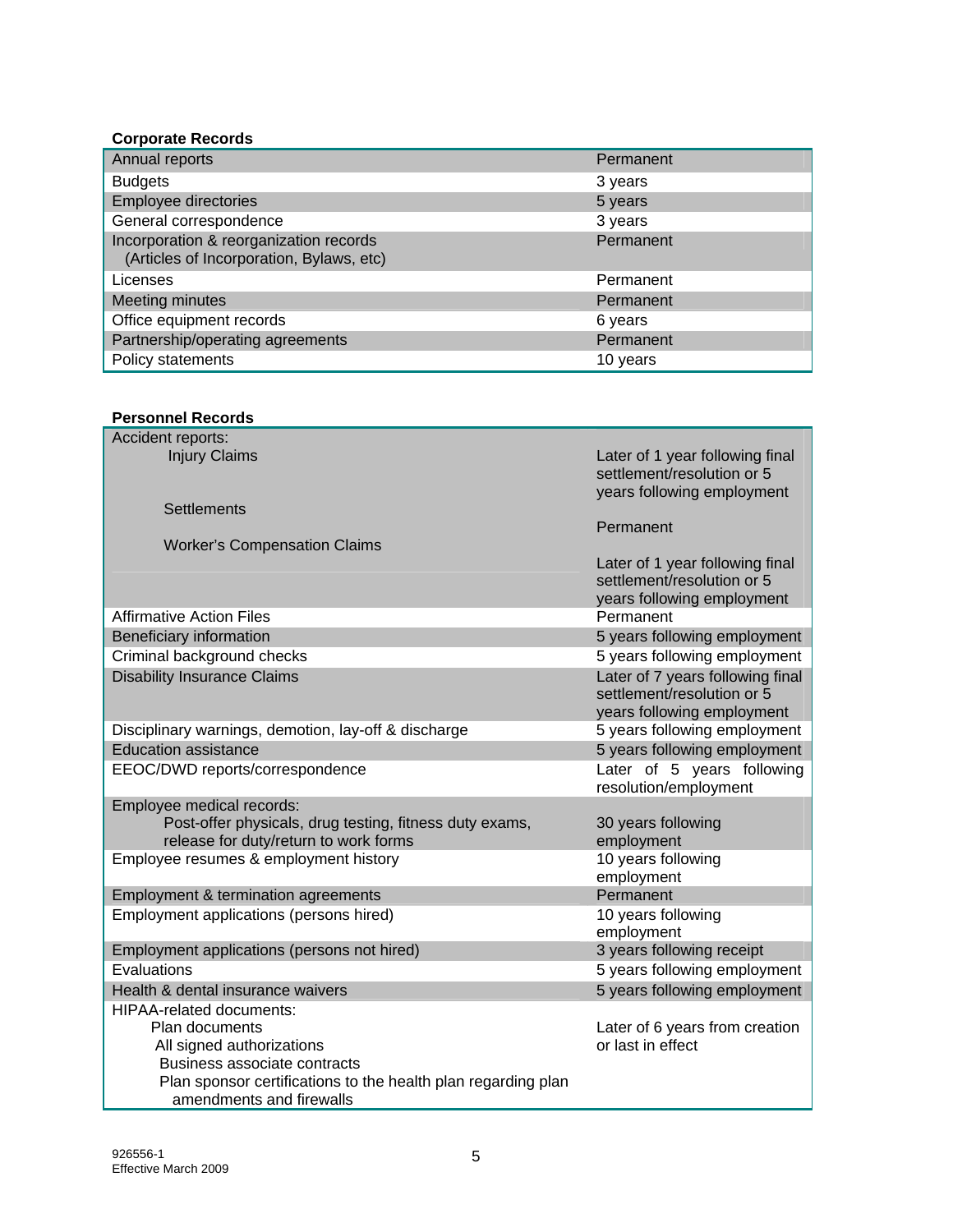#### **Corporate Records**

| Annual reports                                                                     | Permanent |
|------------------------------------------------------------------------------------|-----------|
| <b>Budgets</b>                                                                     | 3 years   |
| Employee directories                                                               | 5 years   |
| General correspondence                                                             | 3 years   |
| Incorporation & reorganization records<br>(Articles of Incorporation, Bylaws, etc) | Permanent |
| Licenses                                                                           | Permanent |
| Meeting minutes                                                                    | Permanent |
| Office equipment records                                                           | 6 years   |
| Partnership/operating agreements                                                   | Permanent |
| Policy statements                                                                  | 10 years  |

#### **Personnel Records**

| Accident reports:                                             |                                                                                              |
|---------------------------------------------------------------|----------------------------------------------------------------------------------------------|
| <b>Injury Claims</b>                                          | Later of 1 year following final<br>settlement/resolution or 5<br>years following employment  |
| <b>Settlements</b>                                            |                                                                                              |
|                                                               | Permanent                                                                                    |
| <b>Worker's Compensation Claims</b>                           |                                                                                              |
|                                                               | Later of 1 year following final<br>settlement/resolution or 5<br>years following employment  |
| <b>Affirmative Action Files</b>                               | Permanent                                                                                    |
| <b>Beneficiary information</b>                                | 5 years following employment                                                                 |
| Criminal background checks                                    | 5 years following employment                                                                 |
| <b>Disability Insurance Claims</b>                            | Later of 7 years following final<br>settlement/resolution or 5<br>years following employment |
| Disciplinary warnings, demotion, lay-off & discharge          | 5 years following employment                                                                 |
| <b>Education assistance</b>                                   | 5 years following employment                                                                 |
| EEOC/DWD reports/correspondence                               | Later of 5 years following<br>resolution/employment                                          |
| Employee medical records:                                     |                                                                                              |
| Post-offer physicals, drug testing, fitness duty exams,       | 30 years following                                                                           |
| release for duty/return to work forms                         | employment                                                                                   |
| Employee resumes & employment history                         | 10 years following<br>employment                                                             |
| Employment & termination agreements                           | Permanent                                                                                    |
| Employment applications (persons hired)                       | 10 years following<br>employment                                                             |
| Employment applications (persons not hired)                   | 3 years following receipt                                                                    |
| Evaluations                                                   | 5 years following employment                                                                 |
| Health & dental insurance waivers                             | 5 years following employment                                                                 |
| <b>HIPAA-related documents:</b>                               |                                                                                              |
| Plan documents                                                | Later of 6 years from creation                                                               |
| All signed authorizations                                     | or last in effect                                                                            |
| Business associate contracts                                  |                                                                                              |
| Plan sponsor certifications to the health plan regarding plan |                                                                                              |
| amendments and firewalls                                      |                                                                                              |